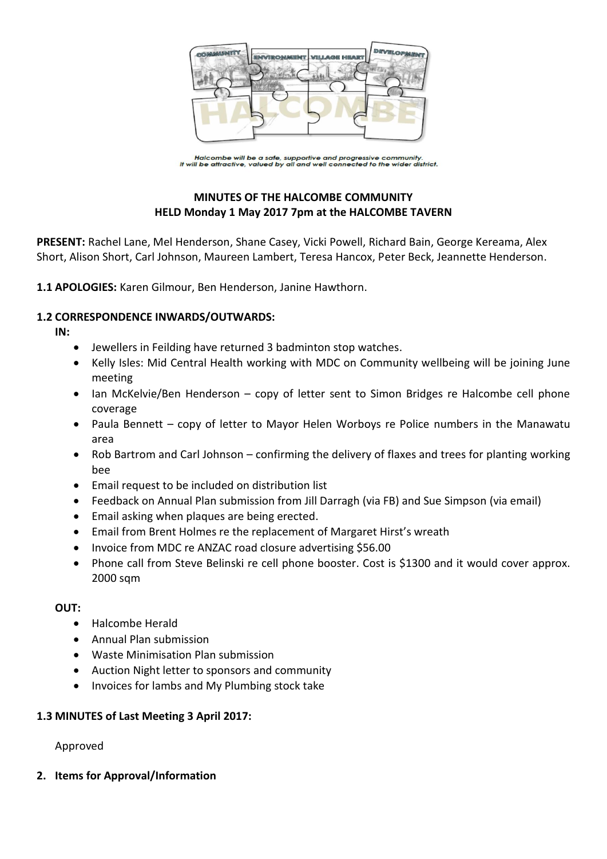

Halcombe will be a safe, supportive and progressive community.<br>It will be attractive, valued by all and well connected to the wider district.

# **MINUTES OF THE HALCOMBE COMMUNITY HELD Monday 1 May 2017 7pm at the HALCOMBE TAVERN**

**PRESENT:** Rachel Lane, Mel Henderson, Shane Casey, Vicki Powell, Richard Bain, George Kereama, Alex Short, Alison Short, Carl Johnson, Maureen Lambert, Teresa Hancox, Peter Beck, Jeannette Henderson.

**1.1 APOLOGIES:** Karen Gilmour, Ben Henderson, Janine Hawthorn.

## **1.2 CORRESPONDENCE INWARDS/OUTWARDS:**

**IN:** 

- Jewellers in Feilding have returned 3 badminton stop watches.
- Kelly Isles: Mid Central Health working with MDC on Community wellbeing will be joining June meeting
- Ian McKelvie/Ben Henderson copy of letter sent to Simon Bridges re Halcombe cell phone coverage
- Paula Bennett copy of letter to Mayor Helen Worboys re Police numbers in the Manawatu area
- Rob Bartrom and Carl Johnson confirming the delivery of flaxes and trees for planting working bee
- Email request to be included on distribution list
- Feedback on Annual Plan submission from Jill Darragh (via FB) and Sue Simpson (via email)
- Email asking when plaques are being erected.
- Email from Brent Holmes re the replacement of Margaret Hirst's wreath
- Invoice from MDC re ANZAC road closure advertising \$56.00
- Phone call from Steve Belinski re cell phone booster. Cost is \$1300 and it would cover approx. 2000 sqm

### **OUT:**

- Halcombe Herald
- Annual Plan submission
- Waste Minimisation Plan submission
- Auction Night letter to sponsors and community
- Invoices for lambs and My Plumbing stock take

### **1.3 MINUTES of Last Meeting 3 April 2017:**

Approved

**2. Items for Approval/Information**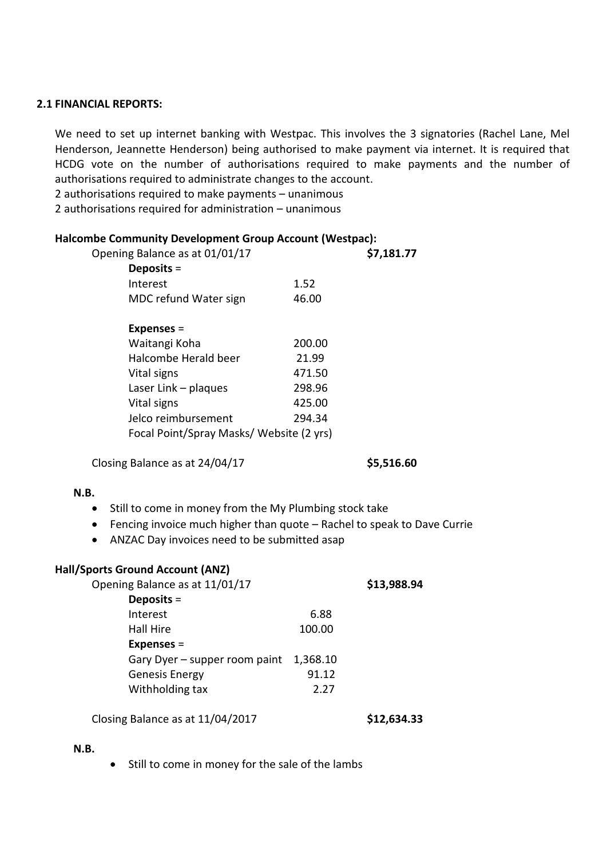#### **2.1 FINANCIAL REPORTS:**

We need to set up internet banking with Westpac. This involves the 3 signatories (Rachel Lane, Mel Henderson, Jeannette Henderson) being authorised to make payment via internet. It is required that HCDG vote on the number of authorisations required to make payments and the number of authorisations required to administrate changes to the account.

2 authorisations required to make payments – unanimous

2 authorisations required for administration – unanimous

#### **Halcombe Community Development Group Account (Westpac):**

|                                          | \$7,181.77 |
|------------------------------------------|------------|
|                                          |            |
| 1.52                                     |            |
| 46.00                                    |            |
|                                          |            |
| 200.00                                   |            |
| 21.99                                    |            |
| 471.50                                   |            |
| 298.96                                   |            |
| 425.00                                   |            |
| 294.34                                   |            |
| Focal Point/Spray Masks/ Website (2 yrs) |            |
|                                          |            |

Closing Balance as at 24/04/17 **\$5,516.60**

#### **N.B.**

- Still to come in money from the My Plumbing stock take
- Fencing invoice much higher than quote Rachel to speak to Dave Currie
- ANZAC Day invoices need to be submitted asap

#### **Hall/Sports Ground Account (ANZ)**

| Opening Balance as at 11/01/17 |          | \$13,988.94 |
|--------------------------------|----------|-------------|
| Deposits $=$                   |          |             |
| Interest                       | 6.88     |             |
| Hall Hire                      | 100.00   |             |
| Expenses $=$                   |          |             |
| Gary Dyer - supper room paint  | 1,368.10 |             |
| <b>Genesis Energy</b>          | 91.12    |             |
| Withholding tax                | 2.27     |             |
|                                |          |             |

Closing Balance as at 11/04/2017 **\$12,634.33**

#### **N.B.**

• Still to come in money for the sale of the lambs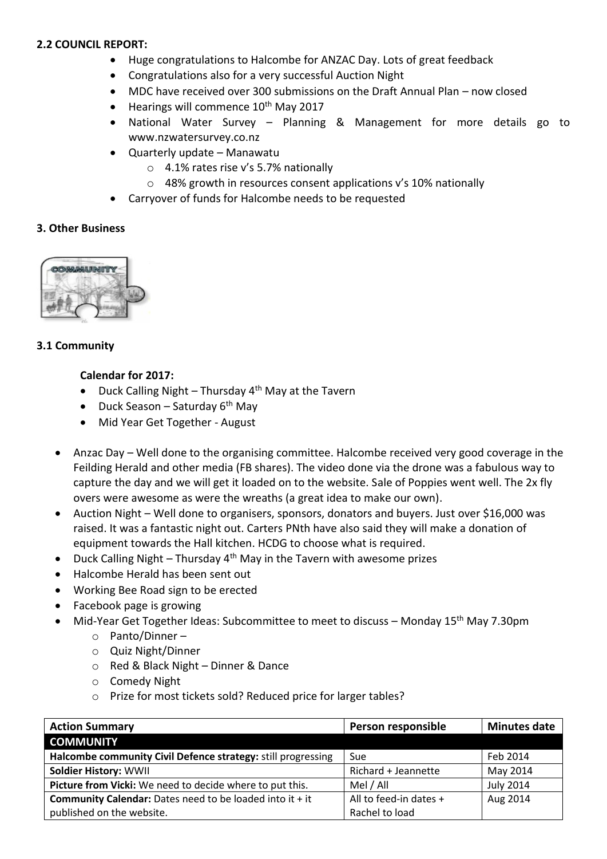### **2.2 COUNCIL REPORT:**

- Huge congratulations to Halcombe for ANZAC Day. Lots of great feedback
- Congratulations also for a very successful Auction Night
- MDC have received over 300 submissions on the Draft Annual Plan now closed
- $\bullet$  Hearings will commence 10<sup>th</sup> May 2017
- National Water Survey Planning & Management for more details go to www.nzwatersurvey.co.nz
- Quarterly update Manawatu
	- o 4.1% rates rise v's 5.7% nationally
	- o 48% growth in resources consent applications v's 10% nationally
- Carryover of funds for Halcombe needs to be requested

### **3. Other Business**



## **3.1 Community**

### **Calendar for 2017:**

- Duck Calling Night Thursday  $4<sup>th</sup>$  May at the Tavern
- $\bullet$  Duck Season Saturday 6<sup>th</sup> Mav
- Mid Year Get Together August
- Anzac Day Well done to the organising committee. Halcombe received very good coverage in the Feilding Herald and other media (FB shares). The video done via the drone was a fabulous way to capture the day and we will get it loaded on to the website. Sale of Poppies went well. The 2x fly overs were awesome as were the wreaths (a great idea to make our own).
- Auction Night Well done to organisers, sponsors, donators and buyers. Just over \$16,000 was raised. It was a fantastic night out. Carters PNth have also said they will make a donation of equipment towards the Hall kitchen. HCDG to choose what is required.
- Duck Calling Night Thursday  $4<sup>th</sup>$  May in the Tavern with awesome prizes
- Halcombe Herald has been sent out
- Working Bee Road sign to be erected
- Facebook page is growing
- Mid-Year Get Together Ideas: Subcommittee to meet to discuss Monday 15<sup>th</sup> May 7.30pm
	- o Panto/Dinner –
	- o Quiz Night/Dinner
	- o Red & Black Night Dinner & Dance
	- o Comedy Night
	- o Prize for most tickets sold? Reduced price for larger tables?

| <b>Action Summary</b>                                             | Person responsible     | <b>Minutes date</b> |
|-------------------------------------------------------------------|------------------------|---------------------|
| <b>COMMUNITY</b>                                                  |                        |                     |
| Halcombe community Civil Defence strategy: still progressing      | Sue                    | Feb 2014            |
| <b>Soldier History: WWII</b>                                      | Richard + Jeannette    | May 2014            |
| Picture from Vicki: We need to decide where to put this.          | Mel / All              | <b>July 2014</b>    |
| <b>Community Calendar:</b> Dates need to be loaded into it $+$ it | All to feed-in dates + | Aug 2014            |
| published on the website.                                         | Rachel to load         |                     |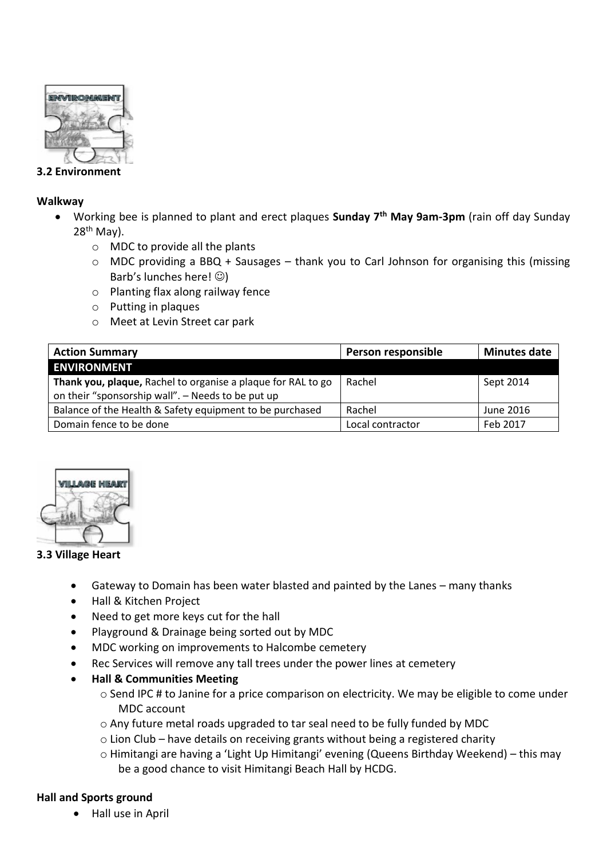

## **3.2 Environment**

### **Walkway**

- Working bee is planned to plant and erect plaques **Sunday 7th May 9am-3pm** (rain off day Sunday 28th May).
	- o MDC to provide all the plants
	- o MDC providing a BBQ + Sausages thank you to Carl Johnson for organising this (missing Barb's lunches here!  $\circledcirc$ )
	- o Planting flax along railway fence
	- o Putting in plaques
	- o Meet at Levin Street car park

| <b>Action Summary</b>                                                                                             | Person responsible | <b>Minutes date</b> |
|-------------------------------------------------------------------------------------------------------------------|--------------------|---------------------|
| <b>ENVIRONMENT</b>                                                                                                |                    |                     |
| Thank you, plaque, Rachel to organise a plaque for RAL to go<br>on their "sponsorship wall". - Needs to be put up | Rachel             | Sept 2014           |
| Balance of the Health & Safety equipment to be purchased                                                          | Rachel             | June 2016           |
| Domain fence to be done                                                                                           | Local contractor   | Feb 2017            |



### **3.3 Village Heart**

- Gateway to Domain has been water blasted and painted by the Lanes many thanks
- Hall & Kitchen Project
- Need to get more keys cut for the hall
- Playground & Drainage being sorted out by MDC
- MDC working on improvements to Halcombe cemetery
- Rec Services will remove any tall trees under the power lines at cemetery
- **Hall & Communities Meeting**
	- o Send IPC # to Janine for a price comparison on electricity. We may be eligible to come under MDC account
	- $\circ$  Any future metal roads upgraded to tar seal need to be fully funded by MDC
	- o Lion Club have details on receiving grants without being a registered charity
	- o Himitangi are having a 'Light Up Himitangi' evening (Queens Birthday Weekend) this may be a good chance to visit Himitangi Beach Hall by HCDG.

# **Hall and Sports ground**

• Hall use in April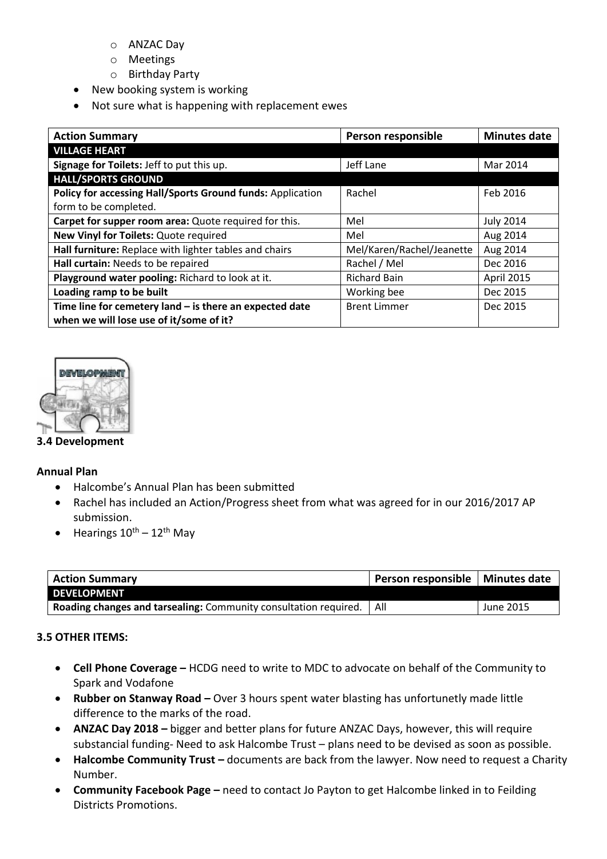- o ANZAC Day
- o Meetings
- o Birthday Party
- New booking system is working
- Not sure what is happening with replacement ewes

| <b>Action Summary</b>                                      | Person responsible        | <b>Minutes date</b> |
|------------------------------------------------------------|---------------------------|---------------------|
| <b>VILLAGE HEART</b>                                       |                           |                     |
| Signage for Toilets: Jeff to put this up.                  | Jeff Lane                 | Mar 2014            |
| <b>HALL/SPORTS GROUND</b>                                  |                           |                     |
| Policy for accessing Hall/Sports Ground funds: Application | Rachel                    | Feb 2016            |
| form to be completed.                                      |                           |                     |
| Carpet for supper room area: Quote required for this.      | Mel                       | <b>July 2014</b>    |
| New Vinyl for Toilets: Quote required                      | Mel                       | Aug 2014            |
| Hall furniture: Replace with lighter tables and chairs     | Mel/Karen/Rachel/Jeanette | Aug 2014            |
| Hall curtain: Needs to be repaired                         | Rachel / Mel              | Dec 2016            |
| Playground water pooling: Richard to look at it.           | <b>Richard Bain</b>       | <b>April 2015</b>   |
| Loading ramp to be built                                   | Working bee               | Dec 2015            |
| Time line for cemetery land $-$ is there an expected date  | <b>Brent Limmer</b>       | Dec 2015            |
| when we will lose use of it/some of it?                    |                           |                     |



## **3.4 Development**

### **Annual Plan**

- Halcombe's Annual Plan has been submitted
- Rachel has included an Action/Progress sheet from what was agreed for in our 2016/2017 AP submission.
- $\bullet$  Hearings  $10^{th} 12^{th}$  May

| <b>Action Summary</b>                                            | Person responsible   Minutes date |           |
|------------------------------------------------------------------|-----------------------------------|-----------|
| <b>DEVELOPMENT</b>                                               |                                   |           |
| Roading changes and tarsealing: Community consultation required. | l All                             | June 2015 |

# **3.5 OTHER ITEMS:**

- **Cell Phone Coverage –** HCDG need to write to MDC to advocate on behalf of the Community to Spark and Vodafone
- **Rubber on Stanway Road –** Over 3 hours spent water blasting has unfortunetly made little difference to the marks of the road.
- **ANZAC Day 2018** bigger and better plans for future ANZAC Days, however, this will require substancial funding- Need to ask Halcombe Trust – plans need to be devised as soon as possible.
- **Halcombe Community Trust –** documents are back from the lawyer. Now need to request a Charity Number.
- **Community Facebook Page –** need to contact Jo Payton to get Halcombe linked in to Feilding Districts Promotions.